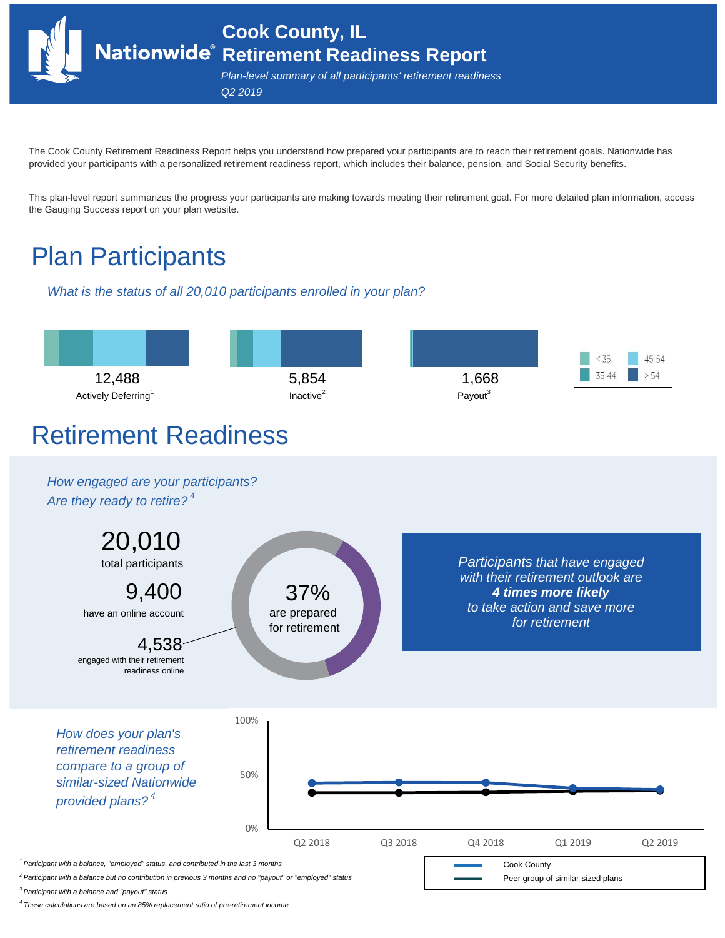**Cook County, IL Retirement Readiness Report**

*Plan-level summary of all participants' retirement readiness Q2 2019*

The Cook County Retirement Readiness Report helps you understand how prepared your participants are to reach their retirement goals. Nationwide has provided your participants with a personalized retirement readiness report, which includes their balance, pension, and Social Security benefits.

This plan-level report summarizes the progress your participants are making towards meeting their retirement goal. For more detailed plan information, access the Gauging Success report on your plan website.

## Plan Participants

*What is the status of all 20,010 participants enrolled in your plan?*



*3 Participant with a balance and "payout" status*

*4 These calculations are based on an 85% replacement ratio of pre-retirement income*